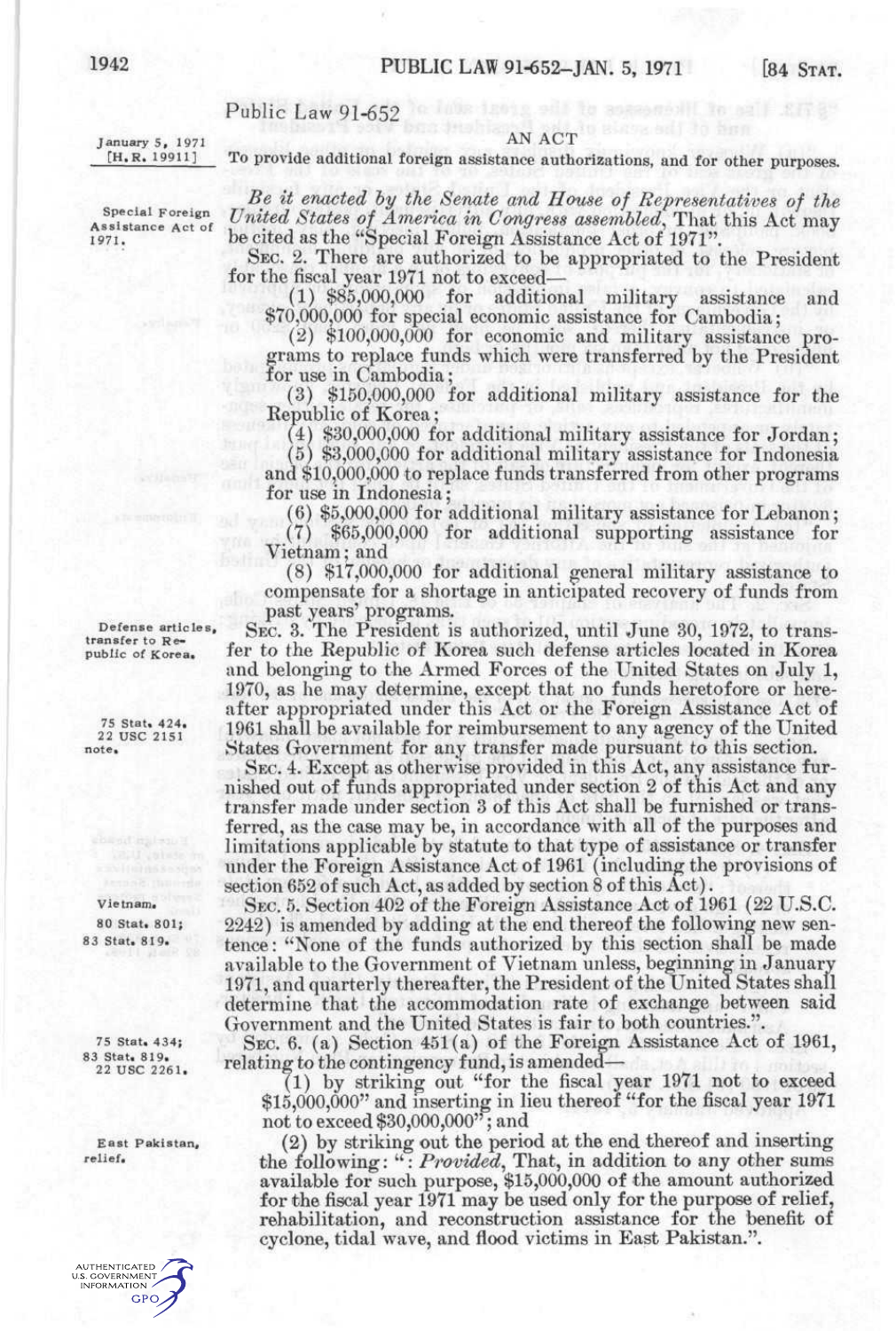## Public Law 91-652

**Ianuary 5, 1971**<br> **H.R. 19911]** To provide additional foreign assistance authority To provide additional foreign assistance authorizations, and for other purposes.

> *Be it enacted hy the Senate and House of Representatives of the United States of America in Congress assembled,* That this Act may be cited as the "Special Foreign Assistance Act of 1971".

> SEC. 2. There are authorized to be appropriated to the President for the fiscal year 1971 not to exceed— $(1)$  \$85,000,000 for additional

(1) \$85,000,000 for additional military assistance and \$70,000,000 for special economic assistance for Cambodia;

(2) \$100,000,000 for economic and military assistance programs to replace funds which were transferred by the President for use in Cambodia;

(3) \$150,000,000 for additional military assistance for the Eepublic of Korea;

(4) \$30,000,000 for additional military assistance for Jordan;

(5) \$3,000,000 for additional military assistance for Indonesia and \$10,000.,000 to replace funds transferred from other programs for use in Indonesia;

(6) \$5,000,000 for additional military assistance for Lebanon; (7) \$65,000,000 for additional supporting assistance for Vietnam; and

(8) \$17,000,000 for additional general military assistance to compensate for a shortage in anticipated recovery of funds from past years' programs.

SEC. 3. The President is authorized, until June 30, 1972, to transfer to the Republic of Korea such defense articles located in Korea and belonging to the Armed Forces of the United States on July 1, 1970, as he may determine, except that no funds heretofore or hereafter appropriated under this Act or the Foreign Assistance Act of 1961 shall be available for reimbursement to any agency of the United States Government for any transfer made pursuant to this section.

SEC. 4. Except as otherwise provided in this Act, any assistance furnished out of funds appropriated under section 2 of this Act and any transfer made under section 3 of this Act shall be furnished or transferred, as the case may be, in accordance with all of the purposes and limitations applicable by statute to that type of assistance or transfer under the Foreign Assistance Act of 1961 (including the provisions of section 652 of such Act, as added by section 8 of this Act).

SEC. 5. Section 402 of the Foreign Assistance Act of 1961 (22 U.S.C. 2242) is amended by adding at the end thereof the following new sentence : "None of the funds authorized by this section shall be made available to the Government of Vietnam unless, beginning in January 1971, and quarterly thereafter, the President of the United States shall determine that the accommodation rate of exchange between said Government and the United States is fair to both countries.".

SEC. 6. (a) Section 451(a) of the Foreign Assistance Act of 1961, relating to the contingency fund, is amended—

(1) by striking out "for the fiscal year 1971 not to exceed \$15,000,000" and inserting in lieu thereof "for the fiscal year 1971 not to exceed \$30,000,000"; and

(2) by striking out the period at the end thereof and inserting the following: ": Provided, That, in addition to any other sums available for such purpose, \$15,000,000 of the amount authorized for the fiscal year 1971 may be used only for the purpose of relief, rehabilitation, and reconstruction assistance for the benefit of cyclone, tidal wave, and flood victims in East Pakistan.".

**Special Foreign Assistance Act of 1971.** 

**Defense articles, transfer to Republic of Korea.** 

**75 Stat, 424.**  22 **USC** 2151 **note.** 

**Vietnam.** 

**80 Stat, 801; 83 Stat. 819.** 

**75 Stat. 434; 83 Stat. 819.**<br>22 USC 2261.

**East Pakistan, relief.**